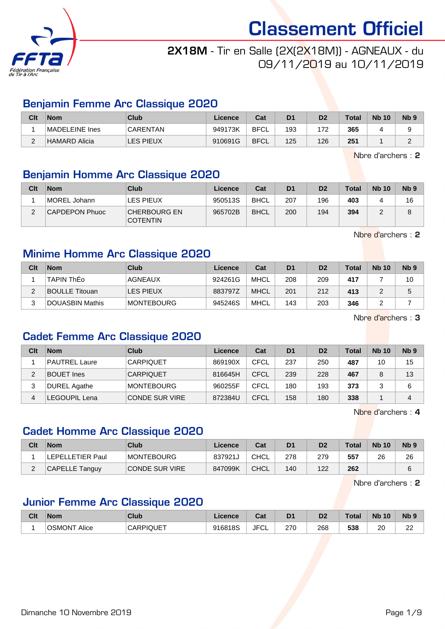

## 2X18M - Tir en Salle (2X(2X18M)) - AGNEAUX - du 09/11/2019 au 10/11/2019

### Benjamin Femme Arc Classique 2020

| Clt      | <b>Nom</b>     | Club             | Licence | Cat         | D <sub>1</sub> | D <sub>2</sub> | <b>Total</b> | <b>Nb 10</b> | Nb ! |
|----------|----------------|------------------|---------|-------------|----------------|----------------|--------------|--------------|------|
|          | MADELEINE Ines | <b>CARENTAN</b>  | 949173K | <b>BFCL</b> | 193            | 172            | 365          |              |      |
| <u>.</u> | HAMARD Alicia  | <b>LES PIEUX</b> | 910691G | <b>BFCL</b> | 125            | 126            | 251          |              |      |

Nbre d'archers : 2

### Benjamin Homme Arc Classique 2020

| Clt | <b>Nom</b>     | <b>Club</b>                            | Licence | Cat         | D <sub>1</sub> | D <sub>2</sub> | <b>Total</b> | <b>Nb 10</b> | N <sub>b</sub> <sub>9</sub> |
|-----|----------------|----------------------------------------|---------|-------------|----------------|----------------|--------------|--------------|-----------------------------|
|     | MOREL Johann   | LES PIEUX                              | 950513S | <b>BHCL</b> | 207            | 196            | 403          |              | 16                          |
|     | CAPDEPON Phuoc | <b>CHERBOURG EN</b><br><b>COTENTIN</b> | 965702B | <b>BHCL</b> | 200            | 194            | 394          |              |                             |

Nbre d'archers : 2

## Minime Homme Arc Classique 2020

| Clt | <b>Nom</b>            | Club               | Licence | Cat         | D <sub>1</sub> | D <sub>2</sub> | <b>Total</b> | <b>Nb 10</b> | N <sub>b</sub> <sub>9</sub> |
|-----|-----------------------|--------------------|---------|-------------|----------------|----------------|--------------|--------------|-----------------------------|
|     | <b>TAPIN ThEo</b>     | AGNEAUX            | 924261G | <b>MHCL</b> | 208            | 209            | 417          |              | 10                          |
| c   | <b>BOULLE Titouan</b> | LES PIEUX          | 883797Z | <b>MHCL</b> | 201            | 212            | 413          |              | 5                           |
|     | DOUASBIN Mathis       | <b>IMONTEBOURG</b> | 945246S | MHCL        | 143            | 203            | 346          |              |                             |

Nbre d'archers : 3

## Cadet Femme Arc Classique 2020

| Clt | <b>Nom</b>           | Club                  | Licence | Cat  | D <sub>1</sub> | D <sub>2</sub> | Total | <b>Nb 10</b> | Nb <sub>9</sub> |
|-----|----------------------|-----------------------|---------|------|----------------|----------------|-------|--------------|-----------------|
|     | <b>PAUTREL Laure</b> | <b>CARPIQUET</b>      | 869190X | CFCL | 237            | 250            | 487   | 10           | 15              |
| 2   | <b>BOUET</b> Ines    | <b>CARPIQUET</b>      | 816645H | CFCL | 239            | 228            | 467   |              | 13              |
| 3   | <b>DUREL Agathe</b>  | <b>IMONTEBOURG</b>    | 960255F | CFCL | 180            | 193            | 373   |              | 6               |
| 4   | <b>LEGOUPIL Lena</b> | <b>CONDE SUR VIRE</b> | 872384U | CFCL | 158            | 180            | 338   |              |                 |

Nbre d'archers : 4

#### Cadet Homme Arc Classique 2020

| Clt | <b>Nom</b>            | Club           | Licence | Cat         | D1  | D2  | <b>Total</b> | <b>Nb 10</b> | N <sub>b</sub> <sub>9</sub> |
|-----|-----------------------|----------------|---------|-------------|-----|-----|--------------|--------------|-----------------------------|
|     | LEPELLETIER Paul      | MONTEBOURG     | 837921J | CHCL        | 278 | 279 | 557          | 26           | 26                          |
|     | <b>CAPELLE Tanguy</b> | CONDE SUR VIRE | 847099K | <b>CHCL</b> | 140 | 122 | 262          |              |                             |

Nbre d'archers : 2

### Junior Femme Arc Classique 2020

| Clt | <b>Nom</b>             | <b>Club</b>      | Licence | ו ה<br>uai              | D <sub>1</sub> | D <sub>2</sub> | <b>Total</b> | <b>N<sub>b</sub></b><br>10 | N <sub>b</sub> |
|-----|------------------------|------------------|---------|-------------------------|----------------|----------------|--------------|----------------------------|----------------|
|     | <b>OSMONT</b><br>Alice | <b>CARPIQUET</b> | 916818S | <b>IFCI</b><br>◡∟<br>υı | 270<br>__      | 268            | 538          | ററ<br>∠∪                   | $\sim$         |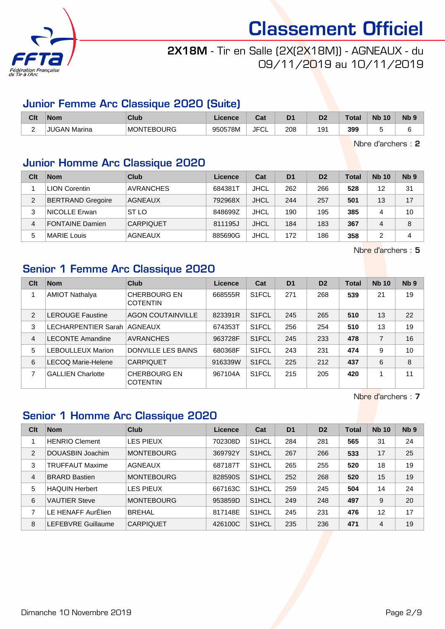

## 2X18M - Tir en Salle (2X(2X18M)) - AGNEAUX - du 09/11/2019 au 10/11/2019

## Junior Femme Arc Classique 2020 (Suite)

| Clt                           | <b>Nom</b>        | <b>Club</b>       | icence  | ⊶ ∼<br>uai | D <sub>1</sub> | D <sub>2</sub> | <b>Total</b> | <b>N<sub>b</sub></b><br>10 | <b>N<sub>b</sub></b> |
|-------------------------------|-------------------|-------------------|---------|------------|----------------|----------------|--------------|----------------------------|----------------------|
| $\overline{\phantom{0}}$<br>- | JUGAN<br>J Marina | <b>MONTEBOURG</b> | 950578M | JFC'<br>◡∟ | 208            | 191            | 399          |                            |                      |

Nbre d'archers : 2

## Junior Homme Arc Classique 2020

| Clt            | <b>Nom</b>               | Club             | Licence | Cat         | D <sub>1</sub> | D <sub>2</sub> | Total | <b>Nb 10</b> | Nb <sub>9</sub> |
|----------------|--------------------------|------------------|---------|-------------|----------------|----------------|-------|--------------|-----------------|
|                | <b>LION Corentin</b>     | <b>AVRANCHES</b> | 684381T | <b>JHCL</b> | 262            | 266            | 528   | 12           | 31              |
| $\overline{2}$ | <b>BERTRAND Gregoire</b> | <b>AGNEAUX</b>   | 792968X | <b>JHCL</b> | 244            | 257            | 501   | 13           | 17              |
| 3              | <b>NICOLLE Erwan</b>     | ST LO            | 848699Z | <b>JHCL</b> | 190            | 195            | 385   | 4            | 10              |
| 4              | <b>FONTAINE Damien</b>   | <b>CARPIQUET</b> | 811195J | <b>JHCL</b> | 184            | 183            | 367   | 4            | 8               |
| 5              | <b>MARIE Louis</b>       | AGNEAUX          | 885690G | JHCL        | 172            | 186            | 358   | 2            | 4               |

Nbre d'archers : 5

## Senior 1 Femme Arc Classique 2020

| Clt | <b>Nom</b>                  | Club                                   | Licence | Cat                | D <sub>1</sub> | D <sub>2</sub> | <b>Total</b> | <b>Nb 10</b>   | N <sub>b</sub> <sub>9</sub> |
|-----|-----------------------------|----------------------------------------|---------|--------------------|----------------|----------------|--------------|----------------|-----------------------------|
|     | <b>AMIOT Nathalya</b>       | <b>CHERBOURG EN</b><br><b>COTENTIN</b> | 668555R | S <sub>1</sub> FCL | 271            | 268            | 539          | 21             | 19                          |
| 2   | <b>LEROUGE Faustine</b>     | <b>AGON COUTAINVILLE</b>               | 823391R | S <sub>1</sub> FCL | 245            | 265            | 510          | 13             | 22                          |
| 3   | LECHARPENTIER Sarah AGNEAUX |                                        | 674353T | S <sub>1</sub> FCL | 256            | 254            | 510          | 13             | 19                          |
| 4   | <b>LECONTE Amandine</b>     | <b>AVRANCHES</b>                       | 963728F | S1FCL              | 245            | 233            | 478          | $\overline{7}$ | 16                          |
| 5   | <b>LEBOULLEUX Marion</b>    | <b>DONVILLE LES BAINS</b>              | 680368F | S <sub>1</sub> FCL | 243            | 231            | 474          | 9              | 10                          |
| 6   | LECOQ Marie-Helene          | <b>CARPIQUET</b>                       | 916339W | S <sub>1</sub> FCL | 225            | 212            | 437          | 6              | 8                           |
| 7   | <b>GALLIEN Charlotte</b>    | <b>CHERBOURG EN</b><br><b>COTENTIN</b> | 967104A | S <sub>1</sub> FCL | 215            | 205            | 420          | 4              | 11                          |

Nbre d'archers : 7

## Senior 1 Homme Arc Classique 2020

| Clt | <b>Nom</b>            | Club              | Licence | Cat                | D <sub>1</sub> | D <sub>2</sub> | <b>Total</b> | <b>Nb 10</b> | Nb <sub>9</sub> |
|-----|-----------------------|-------------------|---------|--------------------|----------------|----------------|--------------|--------------|-----------------|
|     | <b>HENRIO Clement</b> | <b>LES PIEUX</b>  | 702308D | S <sub>1</sub> HCL | 284            | 281            | 565          | 31           | 24              |
| 2   | DOUASBIN Joachim      | <b>MONTEBOURG</b> | 369792Y | S <sub>1</sub> HCL | 267            | 266            | 533          | 17           | 25              |
| 3   | TRUFFAUT Maxime       | <b>AGNEAUX</b>    | 687187T | S <sub>1</sub> HCL | 265            | 255            | 520          | 18           | 19              |
| 4   | <b>BRARD Bastien</b>  | <b>MONTEBOURG</b> | 828590S | S <sub>1</sub> HCL | 252            | 268            | 520          | 15           | 19              |
| 5   | <b>HAQUIN Herbert</b> | <b>LES PIEUX</b>  | 667163C | S <sub>1</sub> HCL | 259            | 245            | 504          | 14           | 24              |
| 6   | <b>VAUTIER Steve</b>  | <b>MONTEBOURG</b> | 953859D | S <sub>1</sub> HCL | 249            | 248            | 497          | 9            | 20              |
| 7   | LE HENAFF AurElien    | <b>BREHAL</b>     | 817148E | S <sub>1</sub> HCL | 245            | 231            | 476          | 12           | 17              |
| 8   | LEFEBVRE Guillaume    | <b>CARPIQUET</b>  | 426100C | S <sub>1</sub> HCL | 235            | 236            | 471          | 4            | 19              |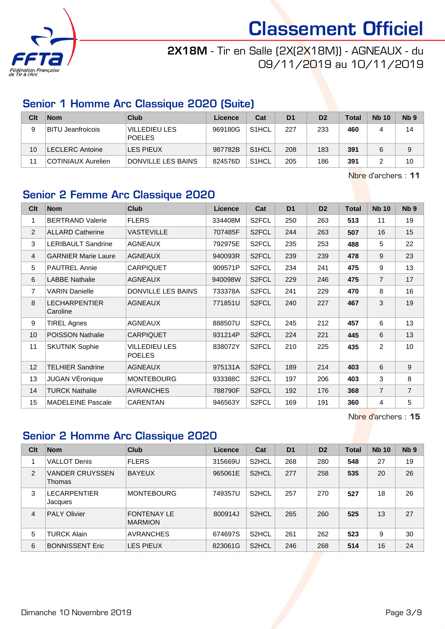

## 2X18M - Tir en Salle (2X(2X18M)) - AGNEAUX - du 09/11/2019 au 10/11/2019

## Senior 1 Homme Arc Classique 2020 (Suite)

| Clt | <b>Nom</b>             | Club                           | Licence | Cat                | D <sub>1</sub> | D <sub>2</sub> | <b>Total</b> | <b>Nb 10</b> | N <sub>b</sub> <sub>9</sub> |
|-----|------------------------|--------------------------------|---------|--------------------|----------------|----------------|--------------|--------------|-----------------------------|
| 9   | BITU Jeanfroicois      | VILLEDIEU LES<br><b>POELES</b> | 969180G | S <sub>1</sub> HCL | 227            | 233            | 460          | 4            | 14                          |
| 10  | <b>LECLERC Antoine</b> | LES PIEUX                      | 987782B | S <sub>1</sub> HCL | 208            | 183            | 391          | 6            | 9                           |
| 11  | COTINIAUX Aurelien     | DONVILLE LES BAINS             | 824576D | S <sub>1</sub> HCL | 205            | 186            | 391          |              | 10                          |

Nbre d'archers : 11

## Senior 2 Femme Arc Classique 2020

| Clt             | <b>Nom</b>                       | <b>Club</b>                           | <b>Licence</b> | Cat                | D <sub>1</sub> | D <sub>2</sub> | <b>Total</b> | <b>Nb 10</b>   | N <sub>b</sub> <sub>9</sub> |
|-----------------|----------------------------------|---------------------------------------|----------------|--------------------|----------------|----------------|--------------|----------------|-----------------------------|
| 1               | <b>BERTRAND Valerie</b>          | <b>FLERS</b>                          | 334408M        | S2FCL              | 250            | 263            | 513          | 11             | 19                          |
| 2               | <b>ALLARD Catherine</b>          | <b>VASTEVILLE</b>                     | 707485F        | S <sub>2</sub> FCL | 244            | 263            | 507          | 16             | 15                          |
| 3               | LERIBAULT Sandrine               | <b>AGNEAUX</b>                        | 792975E        | S2FCL              | 235            | 253            | 488          | 5              | 22                          |
| $\overline{4}$  | <b>GARNIER Marie Laure</b>       | <b>AGNEAUX</b>                        | 940093R        | S <sub>2</sub> FCL | 239            | 239            | 478          | 9              | 23                          |
| 5               | <b>PAUTREL Annie</b>             | <b>CARPIQUET</b>                      | 909571P        | S <sub>2</sub> FCL | 234            | 241            | 475          | 9              | 13                          |
| 6               | <b>LABBE Nathalie</b>            | <b>AGNEAUX</b>                        | 940098W        | S2FCL              | 229            | 246            | 475          | $\overline{7}$ | 17                          |
| $\overline{7}$  | <b>VARIN Danielle</b>            | DONVILLE LES BAINS                    | 733378A        | S <sub>2</sub> FCL | 241            | 229            | 470          | 8              | 16                          |
| 8               | <b>LECHARPENTIER</b><br>Caroline | <b>AGNEAUX</b>                        | 771851U        | S <sub>2</sub> FCL | 240            | 227            | 467          | 3              | 19                          |
| 9               | <b>TIREL Agnes</b>               | <b>AGNEAUX</b>                        | 888507U        | S2FCL              | 245            | 212            | 457          | 6              | 13                          |
| 10 <sup>1</sup> | <b>POISSON Nathalie</b>          | <b>CARPIQUET</b>                      | 931214P        | S <sub>2</sub> FCL | 224            | 221            | 445          | 6              | 13                          |
| 11              | <b>SKUTNIK Sophie</b>            | <b>VILLEDIEU LES</b><br><b>POELES</b> | 838072Y        | S <sub>2</sub> FCL | 210            | 225            | 435          | 2              | 10                          |
| 12              | <b>TELHIER Sandrine</b>          | <b>AGNEAUX</b>                        | 975131A        | S2FCL              | 189            | 214            | 403          | 6              | 9                           |
| 13              | JUGAN VÉronique                  | <b>MONTEBOURG</b>                     | 933388C        | S2FCL              | 197            | 206            | 403          | 3              | 8                           |
| 14              | <b>TURCK Nathalie</b>            | <b>AVRANCHES</b>                      | 788790F        | S2FCL              | 192            | 176            | 368          | $\overline{7}$ | $\overline{7}$              |
| 15              | <b>MADELEINE Pascale</b>         | <b>CARENTAN</b>                       | 946563Y        | S <sub>2</sub> FCL | 169            | 191            | 360          | 4              | 5                           |

Nbre d'archers : 15

## Senior 2 Homme Arc Classique 2020

| Clt            | <b>Nom</b>                       | <b>Club</b>                          | Licence | Cat                | D <sub>1</sub> | D <sub>2</sub> | Total | <b>Nb 10</b> | Nb <sub>9</sub> |
|----------------|----------------------------------|--------------------------------------|---------|--------------------|----------------|----------------|-------|--------------|-----------------|
|                | <b>VALLOT Denis</b>              | <b>FLERS</b>                         | 315669U | S <sub>2</sub> HCL | 268            | 280            | 548   | 27           | 19              |
| 2              | <b>VANDER CRUYSSEN</b><br>Thomas | <b>BAYEUX</b>                        | 965061E | S <sub>2</sub> HCL | 277            | 258            | 535   | 20           | 26              |
| 3              | <b>LECARPENTIER</b><br>Jacques   | <b>MONTEBOURG</b>                    | 749357U | S <sub>2</sub> HCL | 257            | 270            | 527   | 18           | 26              |
| $\overline{4}$ | <b>PALY Olivier</b>              | <b>FONTENAY LE</b><br><b>MARMION</b> | 800914J | S <sub>2</sub> HCL | 265            | 260            | 525   | 13           | 27              |
| 5              | <b>TURCK Alain</b>               | <b>AVRANCHES</b>                     | 674697S | S <sub>2</sub> HCL | 261            | 262            | 523   | 9            | 30              |
| 6              | <b>BONNISSENT Eric</b>           | <b>LES PIEUX</b>                     | 823061G | S <sub>2</sub> HCL | 246            | 268            | 514   | 16           | 24              |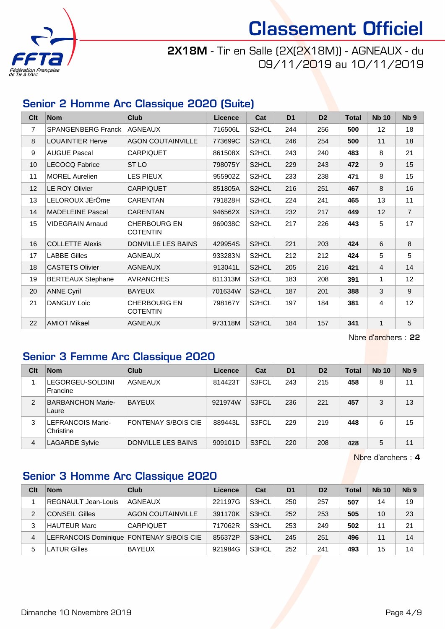

## 2X18M - Tir en Salle (2X(2X18M)) - AGNEAUX - du 09/11/2019 au 10/11/2019

## Senior 2 Homme Arc Classique 2020 (Suite)

| Clt             | <b>Nom</b>                | <b>Club</b>                            | <b>Licence</b> | Cat                | D <sub>1</sub> | D <sub>2</sub> | <b>Total</b> | <b>Nb 10</b>   | N <sub>b</sub> <sub>9</sub> |
|-----------------|---------------------------|----------------------------------------|----------------|--------------------|----------------|----------------|--------------|----------------|-----------------------------|
| $\overline{7}$  | <b>SPANGENBERG Franck</b> | <b>AGNEAUX</b>                         | 716506L        | S2HCL              | 244            | 256            | 500          | 12             | 18                          |
| 8               | <b>LOUAINTIER Herve</b>   | <b>AGON COUTAINVILLE</b>               | 773699C        | S2HCL              | 246            | 254            | 500          | 11             | 18                          |
| 9               | <b>AUGUE Pascal</b>       | <b>CARPIQUET</b>                       | 861508X        | S2HCL              | 243            | 240            | 483          | 8              | 21                          |
| 10 <sup>1</sup> | <b>LECOCQ Fabrice</b>     | ST <sub>LO</sub>                       | 798075Y        | S2HCL              | 229            | 243            | 472          | 9              | 15                          |
| 11              | <b>MOREL Aurelien</b>     | LES PIEUX                              | 955902Z        | S2HCL              | 233            | 238            | 471          | 8              | 15                          |
| 12              | LE ROY Olivier            | <b>CARPIQUET</b>                       | 851805A        | S2HCL              | 216            | 251            | 467          | 8              | 16                          |
| 13              | LELOROUX JÉrÔme           | <b>CARENTAN</b>                        | 791828H        | S2HCL              | 224            | 241            | 465          | 13             | 11                          |
| 14              | <b>MADELEINE Pascal</b>   | <b>CARENTAN</b>                        | 946562X        | S2HCL              | 232            | 217            | 449          | 12             | $\overline{7}$              |
| 15              | VIDEGRAIN Arnaud          | <b>CHERBOURG EN</b><br><b>COTENTIN</b> | 969038C        | S2HCL              | 217            | 226            | 443          | 5              | 17                          |
| 16              | <b>COLLETTE Alexis</b>    | <b>DONVILLE LES BAINS</b>              | 429954S        | S2HCL              | 221            | 203            | 424          | 6              | 8                           |
| 17              | <b>LABBE Gilles</b>       | <b>AGNEAUX</b>                         | 933283N        | S2HCL              | 212            | 212            | 424          | 5              | 5                           |
| 18              | <b>CASTETS Olivier</b>    | <b>AGNEAUX</b>                         | 913041L        | S2HCL              | 205            | 216            | 421          | $\overline{4}$ | 14                          |
| 19              | <b>BERTEAUX Stephane</b>  | <b>AVRANCHES</b>                       | 811313M        | S2HCL              | 183            | 208            | 391          | 1              | 12                          |
| 20              | <b>ANNE Cyril</b>         | <b>BAYEUX</b>                          | 701634W        | S <sub>2</sub> HCL | 187            | 201            | 388          | 3              | 9                           |
| 21              | <b>DANGUY Loic</b>        | <b>CHERBOURG EN</b><br><b>COTENTIN</b> | 798167Y        | S <sub>2</sub> HCL | 197            | 184            | 381          | 4              | 12                          |
| 22              | <b>AMIOT Mikael</b>       | <b>AGNEAUX</b>                         | 973118M        | S <sub>2</sub> HCL | 184            | 157            | 341          | $\mathbf{1}$   | 5                           |

Nbre d'archers : 22

### Senior 3 Femme Arc Classique 2020

| Clt            | <b>Nom</b>                        | Club                | Licence | Cat   | D <sub>1</sub> | D <sub>2</sub> | Total | <b>Nb 10</b> | Nb <sub>9</sub> |
|----------------|-----------------------------------|---------------------|---------|-------|----------------|----------------|-------|--------------|-----------------|
|                | LEGORGEU-SOLDINI<br>Francine      | <b>AGNEAUX</b>      | 814423T | S3FCL | 243            | 215            | 458   | 8            | 11              |
| $\mathcal{P}$  | <b>BARBANCHON Marie-</b><br>Laure | <b>BAYEUX</b>       | 921974W | S3FCL | 236            | 221            | 457   | 3            | 13              |
| 3              | LEFRANCOIS Marie-<br>Christine    | FONTENAY S/BOIS CIE | 889443L | S3FCL | 229            | 219            | 448   | 6            | 15              |
| $\overline{4}$ | <b>LAGARDE Sylvie</b>             | DONVILLE LES BAINS  | 909101D | S3FCL | 220            | 208            | 428   | 5            | 11              |

Nbre d'archers : 4

## Senior 3 Homme Arc Classique 2020

| Clt | <b>Nom</b>                               | Club                     | Licence | Cat   | D <sub>1</sub> | D <sub>2</sub> | <b>Total</b> | <b>Nb 10</b> | N <sub>b</sub> <sub>9</sub> |
|-----|------------------------------------------|--------------------------|---------|-------|----------------|----------------|--------------|--------------|-----------------------------|
|     | REGNAULT Jean-Louis                      | <b>AGNEAUX</b>           | 221197G | S3HCL | 250            | 257            | 507          | 14           | 19                          |
| 2   | <b>CONSEIL Gilles</b>                    | <b>AGON COUTAINVILLE</b> | 391170K | S3HCL | 252            | 253            | 505          | 10           | 23                          |
| 3   | HAUTEUR Marc                             | <b>CARPIQUET</b>         | 717062R | S3HCL | 253            | 249            | 502          | 11           | 21                          |
| 4   | LEFRANCOIS Dominique FONTENAY S/BOIS CIE |                          | 856372P | S3HCL | 245            | 251            | 496          | 11           | 14                          |
| 5   | LATUR Gilles                             | <b>BAYEUX</b>            | 921984G | S3HCL | 252            | 241            | 493          | 15           | 14                          |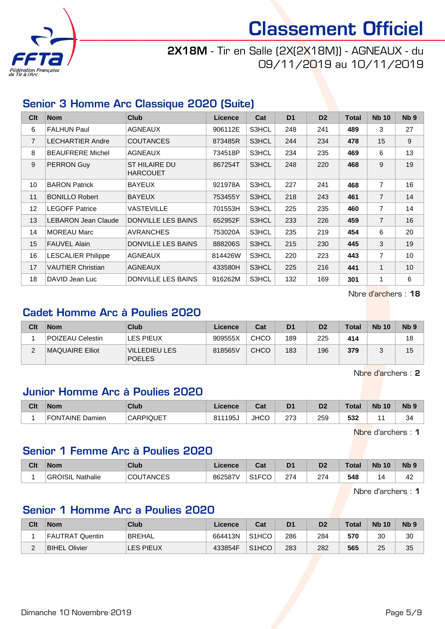

## 2X18M - Tir en Salle (2X(2X18M)) - AGNEAUX - du 09/11/2019 au 10/11/2019

## Senior 3 Homme Arc Classique 2020 (Suite)

| Clt             | <b>Nom</b>                | <b>Club</b>                             | Licence | Cat   | D <sub>1</sub> | D <sub>2</sub> | <b>Total</b> | <b>Nb 10</b>   | N <sub>b</sub> <sub>9</sub> |
|-----------------|---------------------------|-----------------------------------------|---------|-------|----------------|----------------|--------------|----------------|-----------------------------|
| 6               | <b>FALHUN Paul</b>        | <b>AGNEAUX</b>                          | 906112E | S3HCL | 248            | 241            | 489          | 3              | 27                          |
| $\overline{7}$  | <b>LECHARTIER Andre</b>   | <b>COUTANCES</b>                        | 873485R | S3HCL | 244            | 234            | 478          | 15             | 9                           |
| 8               | <b>BEAUFRERE Michel</b>   | <b>AGNEAUX</b>                          | 734518P | S3HCL | 234            | 235            | 469          | 6              | 13                          |
| 9               | PERRON Guy                | <b>ST HILAIRE DU</b><br><b>HARCOUET</b> | 867254T | S3HCL | 248            | 220            | 468          | 9              | 19                          |
| 10              | <b>BARON Patrick</b>      | <b>BAYEUX</b>                           | 921978A | S3HCL | 227            | 241            | 468          | $\overline{7}$ | 16                          |
| 11              | <b>BONILLO Robert</b>     | <b>BAYEUX</b>                           | 753455Y | S3HCL | 218            | 243            | 461          | $\overline{7}$ | 14                          |
| 12 <sup>2</sup> | <b>LEGOFF Patrice</b>     | <b>VASTEVILLE</b>                       | 701553H | S3HCL | 225            | 235            | 460          | $\overline{7}$ | 14                          |
| 13              | LEBARON Jean Claude       | <b>DONVILLE LES BAINS</b>               | 652952F | S3HCL | 233            | 226            | 459          | $\overline{7}$ | 16                          |
| 14              | <b>MOREAU Marc</b>        | <b>AVRANCHES</b>                        | 753020A | S3HCL | 235            | 219            | 454          | 6              | 20                          |
| 15              | <b>FAUVEL Alain</b>       | DONVILLE LES BAINS                      | 888206S | S3HCL | 215            | 230            | 445          | 3              | 19                          |
| 16              | <b>LESCALIER Philippe</b> | <b>AGNEAUX</b>                          | 814426W | S3HCL | 220            | 223            | 443          | $\overline{7}$ | 10                          |
| 17              | <b>VAUTIER Christian</b>  | <b>AGNEAUX</b>                          | 433580H | S3HCL | 225            | 216            | 441          | $\mathbf 1$    | 10                          |
| 18              | DAVID Jean Luc            | <b>DONVILLE LES BAINS</b>               | 916262M | S3HCL | 132            | 169            | 301          | 1              | 6                           |

Nbre d'archers : 18

#### Cadet Homme Arc à Poulies 2020

| Clt           | <b>Nom</b>             | <b>Club</b>                            | Licence | Cat         | D <sub>1</sub> | D <sub>2</sub> | <b>Total</b> | <b>Nb 10</b> | N <sub>b</sub> <sub>9</sub> |
|---------------|------------------------|----------------------------------------|---------|-------------|----------------|----------------|--------------|--------------|-----------------------------|
|               | POIZEAU Celestin       | LES PIEUX                              | 909555X | <b>CHCO</b> | 189            | 225            | 414          |              | 18                          |
| ◠<br><u>.</u> | <b>MAQUAIRE Elliot</b> | <b>IVILLEDIEU LES</b><br><b>POELES</b> | 818565V | <b>CHCO</b> | 183            | 196            | 379          |              | 15                          |

Nbre d'archers : 2

#### Junior Homme Arc à Poulies 2020

| Clt | <b>Nom</b>                | Club             | <b>Licence</b> | ่กื้อ≰<br>uai | D <sub>1</sub>        | D <sub>2</sub> | <b>Total</b> | <b>Nb</b><br>10 | N <sub>b</sub> <sub>9</sub> |
|-----|---------------------------|------------------|----------------|---------------|-----------------------|----------------|--------------|-----------------|-----------------------------|
|     | <b>FONTAINE</b><br>Damien | <b>CARPIQUET</b> | 811195         | <b>JHCO</b>   | היה<br>ں ہے<br>$\sim$ | 259            | よつつ<br>33Z   |                 | 34                          |

Nbre d'archers : 1

#### Senior 1 Femme Arc à Poulies 2020

| Clt | Nom                  | <b>Club</b>   | cence   | <b>Cal</b><br>vat     | D <sub>1</sub> | D <sub>2</sub>         | Total | <b>N<sub>b</sub></b><br>10 | N <sub>b</sub> <sub>9</sub> |
|-----|----------------------|---------------|---------|-----------------------|----------------|------------------------|-------|----------------------------|-----------------------------|
|     | GR<br>OISIL Nathalie | TANCES<br>COL | 862587\ | 0.150<br>ا ا ت<br>ِ س | 274            | $\sim$<br>$\angle$ (4) | 548   | $\sqrt{ }$                 | 42                          |

Nbre d'archers : 1

### Senior 1 Homme Arc a Poulies 2020

| Clt    | <b>Nom</b>           | <b>Club</b> | ∟icence | Cat                | D <sub>1</sub> | D <sub>2</sub> | <b>Total</b> | <b>Nb 10</b> | Nb <sub>5</sub> |
|--------|----------------------|-------------|---------|--------------------|----------------|----------------|--------------|--------------|-----------------|
|        | FAUTRAT Quentin      | BREHAL      | 664413N | S <sub>1</sub> HCO | 286            | 284            | 570          | 30           | 30              |
| c<br>- | <b>BIHEL Olivier</b> | LES PIEUX   | 433854F | S <sub>1</sub> HCO | 283            | 282            | 565          | 25           | 35              |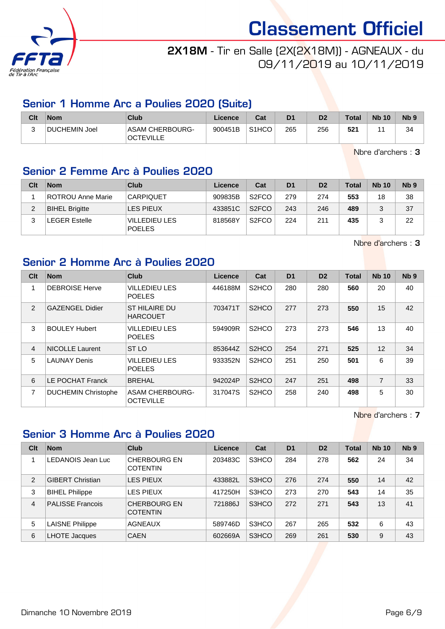

## 2X18M - Tir en Salle (2X(2X18M)) - AGNEAUX - du 09/11/2019 au 10/11/2019

## Senior 1 Homme Arc a Poulies 2020 (Suite)

| Clt    | <b>Nom</b>    | Club                                | Licence | Cat                | D <sub>1</sub> | D <sub>2</sub> | Total | <b>Nb 10</b> | N <sub>b</sub> <sub>9</sub> |
|--------|---------------|-------------------------------------|---------|--------------------|----------------|----------------|-------|--------------|-----------------------------|
| ⌒<br>ີ | DUCHEMIN Joel | ASAM CHERBOURG-<br><b>OCTEVILLE</b> | 900451B | S <sub>1</sub> HCO | 265            | 256            | 521   |              | 34                          |

Nbre d'archers : 3

## Senior 2 Femme Arc à Poulies 2020

| Clt | <b>Nom</b>            | Club                                  | Licence | Cat                | D <sub>1</sub> | D <sub>2</sub> | <b>Total</b> | <b>Nb 10</b> | N <sub>b</sub> <sub>9</sub> |
|-----|-----------------------|---------------------------------------|---------|--------------------|----------------|----------------|--------------|--------------|-----------------------------|
|     | ROTROU Anne Marie     | <b>CARPIQUET</b>                      | 909835B | S <sub>2</sub> FCO | 279            | 274            | 553          | 18           | 38                          |
|     | <b>BIHEL Brigitte</b> | LES PIEUX                             | 433851C | S <sub>2</sub> FCO | 243            | 246            | 489          |              | 37                          |
|     | <b>LEGER Estelle</b>  | <b>VILLEDIEU LES</b><br><b>POELES</b> | 818568Y | S <sub>2</sub> FCO | 224            | 211            | 435          |              | 22                          |

Nbre d'archers : 3

## Senior 2 Homme Arc à Poulies 2020

| Clt            | <b>Nom</b>                 | <b>Club</b>                                | <b>Licence</b> | Cat                | D <sub>1</sub> | D <sub>2</sub> | <b>Total</b> | <b>Nb</b> 10   | Nb <sub>9</sub> |
|----------------|----------------------------|--------------------------------------------|----------------|--------------------|----------------|----------------|--------------|----------------|-----------------|
| 1              | <b>DEBROISE Herve</b>      | <b>VILLEDIEU LES</b><br><b>POELES</b>      | 446188M        | S <sub>2</sub> HCO | 280            | 280            | 560          | 20             | 40              |
| $\mathcal{P}$  | <b>GAZENGEL Didier</b>     | ST HILAIRE DU<br><b>HARCOUET</b>           | 703471T        | S <sub>2</sub> HCO | 277            | 273            | 550          | 15             | 42              |
| 3              | <b>BOULEY Hubert</b>       | <b>VILLEDIEU LES</b><br><b>POELES</b>      | 594909R        | S <sub>2</sub> HCO | 273            | 273            | 546          | 13             | 40              |
| $\overline{4}$ | <b>NICOLLE Laurent</b>     | ST <sub>LO</sub>                           | 853644Z        | S <sub>2</sub> HCO | 254            | 271            | 525          | 12             | 34              |
| 5              | <b>LAUNAY Denis</b>        | <b>VILLEDIEU LES</b><br><b>POELES</b>      | 933352N        | S <sub>2</sub> HCO | 251            | 250            | 501          | 6              | 39              |
| 6              | LE POCHAT Franck           | <b>BREHAL</b>                              | 942024P        | S <sub>2</sub> HCO | 247            | 251            | 498          | $\overline{7}$ | 33              |
| $\overline{7}$ | <b>DUCHEMIN Christophe</b> | <b>ASAM CHERBOURG-</b><br><b>OCTEVILLE</b> | 317047S        | S <sub>2</sub> HCO | 258            | 240            | 498          | 5              | 30              |

Nbre d'archers : 7

## Senior 3 Homme Arc à Poulies 2020

| Clt            | <b>Nom</b>              | Club                                   | Licence | Cat   | D <sub>1</sub> | D <sub>2</sub> | <b>Total</b> | <b>Nb 10</b> | Nb <sub>9</sub> |
|----------------|-------------------------|----------------------------------------|---------|-------|----------------|----------------|--------------|--------------|-----------------|
|                | LEDANOIS Jean Luc       | <b>CHERBOURG EN</b><br><b>COTENTIN</b> | 203483C | S3HCO | 284            | 278            | 562          | 24           | 34              |
| 2              | <b>GIBERT Christian</b> | LES PIEUX                              | 433882L | S3HCO | 276            | 274            | 550          | 14           | 42              |
| 3              | <b>BIHEL Philippe</b>   | <b>LES PIEUX</b>                       | 417250H | S3HCO | 273            | 270            | 543          | 14           | 35              |
| $\overline{4}$ | <b>PALISSE Francois</b> | <b>CHERBOURG EN</b><br><b>COTENTIN</b> | 721886J | S3HCO | 272            | 271            | 543          | 13           | 41              |
| 5              | <b>LAISNE Philippe</b>  | <b>AGNEAUX</b>                         | 589746D | S3HCO | 267            | 265            | 532          | 6            | 43              |
| 6              | <b>LHOTE Jacques</b>    | <b>CAEN</b>                            | 602669A | S3HCO | 269            | 261            | 530          | 9            | 43              |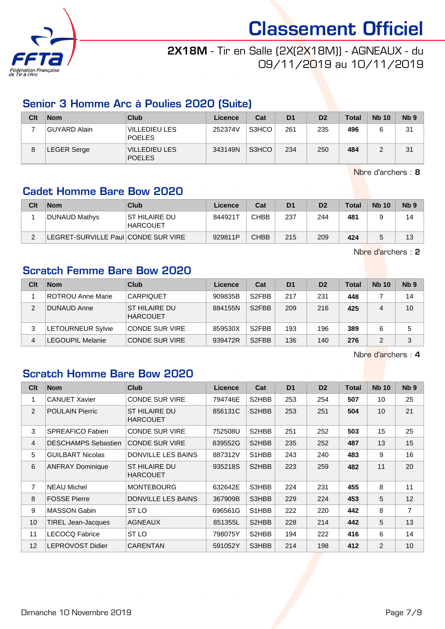

## 2X18M - Tir en Salle (2X(2X18M)) - AGNEAUX - du 09/11/2019 au 10/11/2019

## Senior 3 Homme Arc à Poulies 2020 (Suite)

| Clt | <b>Nom</b>   | Club                                  | Licence | Cat   | D <sub>1</sub> | D <sub>2</sub> | <b>Total</b> | <b>Nb 10</b> | Nb <sub>9</sub> |
|-----|--------------|---------------------------------------|---------|-------|----------------|----------------|--------------|--------------|-----------------|
|     | GUYARD Alain | <b>VILLEDIEU LES</b><br><b>POELES</b> | 252374V | S3HCO | 261            | 235            | 496          |              | 31              |
| 8   | LEGER Serge  | <b>VILLEDIEU LES</b><br><b>POELES</b> | 343149N | S3HCO | 234            | 250            | 484          |              | 31              |

Nbre d'archers : 8

## Cadet Homme Bare Bow 2020

| Clt | <b>Nom</b>                         | Club                              | Licence | Cat         | D <sub>1</sub> | D <sub>2</sub> | <b>Total</b> | <b>Nb 10</b> | N <sub>b</sub> <sub>9</sub> |
|-----|------------------------------------|-----------------------------------|---------|-------------|----------------|----------------|--------------|--------------|-----------------------------|
|     | DUNAUD Mathys                      | IST HILAIRE DU<br><b>HARCOUET</b> | 844921T | CHBB        | 237            | 244            | 481          |              | 14                          |
|     | EGRET-SURVILLE Paul CONDE SUR VIRE |                                   | 929811P | <b>CHBB</b> | 215            | 209            | 424          |              | 13                          |

Nbre d'archers : 2

### Scratch Femme Bare Bow 2020

| Clt            | <b>Nom</b>               | Club                             | Licence | Cat                | D <sub>1</sub> | D <sub>2</sub> | <b>Total</b> | <b>Nb 10</b> | N <sub>b</sub> <sub>9</sub> |
|----------------|--------------------------|----------------------------------|---------|--------------------|----------------|----------------|--------------|--------------|-----------------------------|
|                | ROTROU Anne Marie        | <b>CARPIQUET</b>                 | 909835B | S <sub>2</sub> FBB | 217            | 231            | 448          |              | 14                          |
| 2              | DUNAUD Anne              | ST HILAIRE DU<br><b>HARCOUET</b> | 884155N | S <sub>2</sub> FBB | 209            | 216            | 425          | 4            | 10                          |
| 3              | <b>LETOURNEUR Sylvie</b> | <b>CONDE SUR VIRE</b>            | 859530X | S <sub>2</sub> FBB | 193            | 196            | 389          | 6            | 5                           |
| $\overline{4}$ | _EGOUPIL Melanie         | <b>CONDE SUR VIRE</b>            | 939472R | S <sub>2</sub> FBB | 136            | 140            | 276          | 2            | 3                           |

Nbre d'archers : 4

## Scratch Homme Bare Bow 2020

| Clt            | <b>Nom</b>                 | <b>Club</b>                             | <b>Licence</b> | Cat   | D <sub>1</sub> | D <sub>2</sub> | <b>Total</b> | <b>Nb 10</b>   | Nb <sub>9</sub> |
|----------------|----------------------------|-----------------------------------------|----------------|-------|----------------|----------------|--------------|----------------|-----------------|
| 1              | <b>CANUET Xavier</b>       | <b>CONDE SUR VIRE</b>                   | 794746E        | S2HBB | 253            | 254            | 507          | 10             | 25              |
| 2              | <b>POULAIN Pierric</b>     | <b>ST HILAIRE DU</b><br><b>HARCOUET</b> | 856131C        | S2HBB | 253            | 251            | 504          | 10             | 21              |
| 3              | SPREAFICO Fabien           | <b>CONDE SUR VIRE</b>                   | 752508U        | S2HBB | 251            | 252            | 503          | 15             | 25              |
| $\overline{4}$ | <b>DESCHAMPS Sebastien</b> | <b>CONDE SUR VIRE</b>                   | 839552G        | S2HBB | 235            | 252            | 487          | 13             | 15              |
| 5              | <b>GUILBART Nicolas</b>    | <b>DONVILLE LES BAINS</b>               | 887312V        | S1HBB | 243            | 240            | 483          | 9              | 16              |
| 6              | <b>ANFRAY Dominique</b>    | ST HILAIRE DU<br><b>HARCOUET</b>        | 935218S        | S2HBB | 223            | 259            | 482          | 11             | 20              |
| 7              | <b>NEAU Michel</b>         | <b>MONTEBOURG</b>                       | 632642E        | S3HBB | 224            | 231            | 455          | 8              | 11              |
| 8              | <b>FOSSE Pierre</b>        | <b>DONVILLE LES BAINS</b>               | 367909B        | S3HBB | 229            | 224            | 453          | 5              | 12              |
| 9              | <b>MASSON Gabin</b>        | ST LO                                   | 696561G        | S1HBB | 222            | 220            | 442          | 8              | $\overline{7}$  |
| 10             | <b>TIREL Jean-Jacques</b>  | <b>AGNEAUX</b>                          | 851355L        | S2HBB | 228            | 214            | 442          | 5              | 13              |
| 11             | <b>LECOCQ Fabrice</b>      | ST <sub>LO</sub>                        | 798075Y        | S2HBB | 194            | 222            | 416          | 6              | 14              |
| 12             | <b>LEPROVOST Didier</b>    | <b>CARENTAN</b>                         | 591052Y        | S3HBB | 214            | 198            | 412          | $\overline{2}$ | 10              |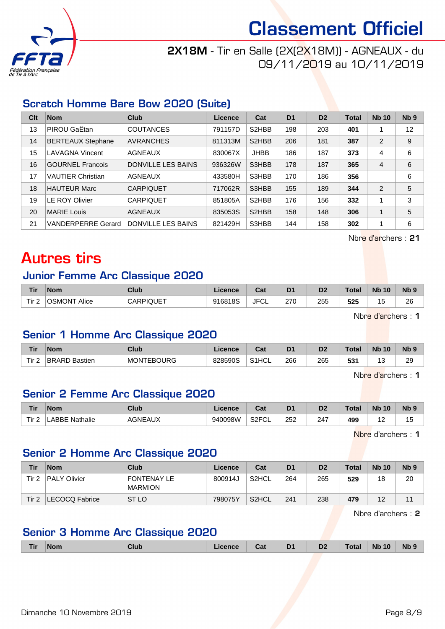

## 2X18M - Tir en Salle (2X(2X18M)) - AGNEAUX - du 09/11/2019 au 10/11/2019

## Scratch Homme Bare Bow 2020 (Suite)

| Clt | <b>Nom</b>                | Club                      | Licence | Cat                | D <sub>1</sub> | D <sub>2</sub> | <b>Total</b> | <b>Nb 10</b> | N <sub>b</sub> <sub>9</sub> |
|-----|---------------------------|---------------------------|---------|--------------------|----------------|----------------|--------------|--------------|-----------------------------|
| 13  | PIROU GaËtan              | <b>COUTANCES</b>          | 791157D | S2HBB              | 198            | 203            | 401          |              | 12                          |
| 14  | <b>BERTEAUX Stephane</b>  | <b>AVRANCHES</b>          | 811313M | S <sub>2</sub> HBB | 206            | 181            | 387          | 2            | 9                           |
| 15  | <b>LAVAGNA Vincent</b>    | <b>AGNEAUX</b>            | 830067X | <b>JHBB</b>        | 186            | 187            | 373          | 4            | 6                           |
| 16  | <b>GOURNEL Francois</b>   | <b>DONVILLE LES BAINS</b> | 936326W | S3HBB              | 178            | 187            | 365          | 4            | 6                           |
| 17  | <b>VAUTIER Christian</b>  | <b>AGNEAUX</b>            | 433580H | S3HBB              | 170            | 186            | 356          |              | 6                           |
| 18  | <b>HAUTEUR Marc</b>       | <b>CARPIQUET</b>          | 717062R | S3HBB              | 155            | 189            | 344          | 2            | 5                           |
| 19  | <b>LE ROY Olivier</b>     | <b>CARPIQUET</b>          | 851805A | S <sub>2</sub> HBB | 176            | 156            | 332          | 1            | 3                           |
| 20  | <b>MARIE Louis</b>        | <b>AGNEAUX</b>            | 835053S | S <sub>2</sub> HBB | 158            | 148            | 306          |              | 5                           |
| 21  | <b>VANDERPERRE Gerard</b> | <b>DONVILLE LES BAINS</b> | 821429H | S3HBB              | 144            | 158            | 302          | 1            | 6                           |

Nbre d'archers : 21

## Autres tirs

#### Junior Femme Arc Classique 2020

| <b>Tir</b>                   | <b>Nom</b>             | Club             | .icence | ◠孪<br>⊍a.  | D <sub>1</sub> | D2  | $\tau$ otal | <b>N<sub>b</sub></b><br>10 | <b>N<sub>b</sub></b> |
|------------------------------|------------------------|------------------|---------|------------|----------------|-----|-------------|----------------------------|----------------------|
| Tir <sub>2</sub><br><u>.</u> | <b>OSMONT</b><br>Alice | <b>CARPIQUET</b> | 916818S | JFC'<br>◡∟ | 270            | 255 | 525         | <br>N                      | 26                   |

Nbre d'archers : 1

### Senior 1 Homme Arc Classique 2020

| <b>Tir</b>       | 'Nom                 | <b>Club</b>       | Licence | ົີີ່<br>ual | D <sub>1</sub> | D <sub>2</sub> | Total | <b>Nb</b><br>10 | N <sub>b</sub> <sub>9</sub> |
|------------------|----------------------|-------------------|---------|-------------|----------------|----------------|-------|-----------------|-----------------------------|
| Tir <sub>2</sub> | <b>BRARD Bastien</b> | <b>MONTEBOURG</b> | 828590S | S1HCL       | 266            | 265            | 531   | ັ               | 29                          |

Nbre d'archers : 1

### Senior 2 Femme Arc Classique 2020

| <b>Tir</b> | <b>Nom</b>       | Club         | icence  | ו ה<br>∍a⊧               | D <sup>1</sup> | D <sub>2</sub><br>ש | Total | <b>N<sub>b</sub></b><br>10 | <b>N<sub>b</sub></b> |
|------------|------------------|--------------|---------|--------------------------|----------------|---------------------|-------|----------------------------|----------------------|
| Tir.       | ABBE<br>Nathalie | <b>AGNEA</b> | 940098W | S <sub>2</sub> FCL<br>◡∟ | 252            | 247                 | 499   | .                          | ں ا                  |

Nbre d'archers : 1

## Senior 2 Homme Arc Classique 2020

| Tir   | <b>Nom</b>          | Club                          | Licence | Cat                | D1  | D <sub>2</sub> | <b>Total</b> | <b>Nb 10</b> | N <sub>b</sub> 9 |
|-------|---------------------|-------------------------------|---------|--------------------|-----|----------------|--------------|--------------|------------------|
| Tir 2 | <b>PALY Olivier</b> | FONTENAY LE<br><b>MARMION</b> | 800914J | S2HCL              | 264 | 265            | 529          | 18           | 20               |
| Tir 2 | LECOCQ Fabrice      | ST <sub>LO</sub>              | 798075Y | S <sub>2</sub> HCL | 241 | 238            | 479          | 12           |                  |

Nbre d'archers : 2

## Senior 3 Homme Arc Classique 2020

| <b>Nb</b><br><b>Nb 10</b><br><b>Tir</b><br>D <sub>1</sub><br>D <sub>2</sub><br>Total<br>Club<br>Licence<br><b>Nom</b><br>Cat<br>- |  |
|-----------------------------------------------------------------------------------------------------------------------------------|--|
|-----------------------------------------------------------------------------------------------------------------------------------|--|